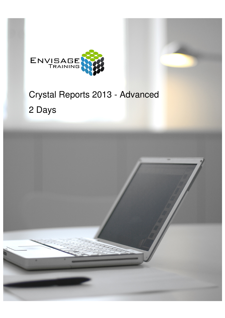

# Crystal Reports 2013 - Advanced 2 Days

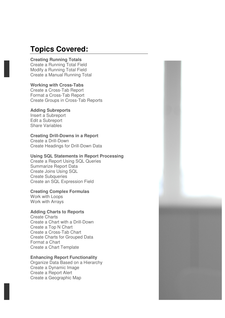### **Topics Covered:**

#### **Creating Running Totals**

Create a Running Total Field Modify a Running Total Field Create a Manual Running Total

#### **Working with Cross-Tabs**

Create a Cross-Tab Report Format a Cross-Tab Report Create Groups in Cross-Tab Reports

#### **Adding Subreports**

Insert a Subreport Edit a Subreport Share Variables

#### **Creating Drill-Downs in a Report**

Create a Drill-Down Create Headings for Drill-Down Data

#### **Using SQL Statements in Report Processing**

Create a Report Using SQL Queries Summarize Report Data Create Joins Using SQL Create Subqueries Create an SQL Expression Field

#### **Creating Complex Formulas**

Work with Loops Work with Arrays

#### **Adding Charts to Reports**

Create Charts Create a Chart with a Drill-Down Create a Top N Chart Create a Cross-Tab Chart Create Charts for Grouped Data Format a Chart Create a Chart Template

#### **Enhancing Report Functionality**

Organize Data Based on a Hierarchy Create a Dynamic Image Create a Report Alert Create a Geographic Map